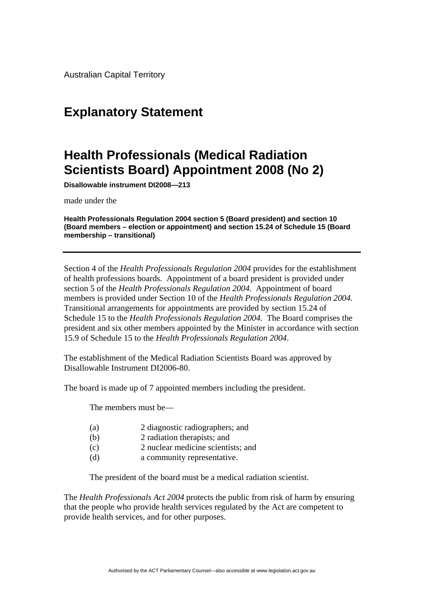Australian Capital Territory

## **Explanatory Statement**

## **Health Professionals (Medical Radiation Scientists Board) Appointment 2008 (No 2)**

**Disallowable instrument DI2008—213**

made under the

**Health Professionals Regulation 2004 section 5 (Board president) and section 10 (Board members – election or appointment) and section 15.24 of Schedule 15 (Board membership – transitional)**

Section 4 of the *Health Professionals Regulation 2004* provides for the establishment of health professions boards*.* Appointment of a board president is provided under section 5 of the *Health Professionals Regulation 2004.* Appointment of board members is provided under Section 10 of the *Health Professionals Regulation 2004.*  Transitional arrangements for appointments are provided by section 15.24 of Schedule 15 to the *Health Professionals Regulation 2004.* The Board comprises the president and six other members appointed by the Minister in accordance with section 15.9 of Schedule 15 to the *Health Professionals Regulation 2004*.

The establishment of the Medical Radiation Scientists Board was approved by Disallowable Instrument DI2006-80.

The board is made up of 7 appointed members including the president.

The members must be—

- (a) 2 diagnostic radiographers; and
- (b) 2 radiation therapists; and
- (c) 2 nuclear medicine scientists; and
- (d) a community representative.

The president of the board must be a medical radiation scientist.

The *Health Professionals Act 2004* protects the public from risk of harm by ensuring that the people who provide health services regulated by the Act are competent to provide health services, and for other purposes.